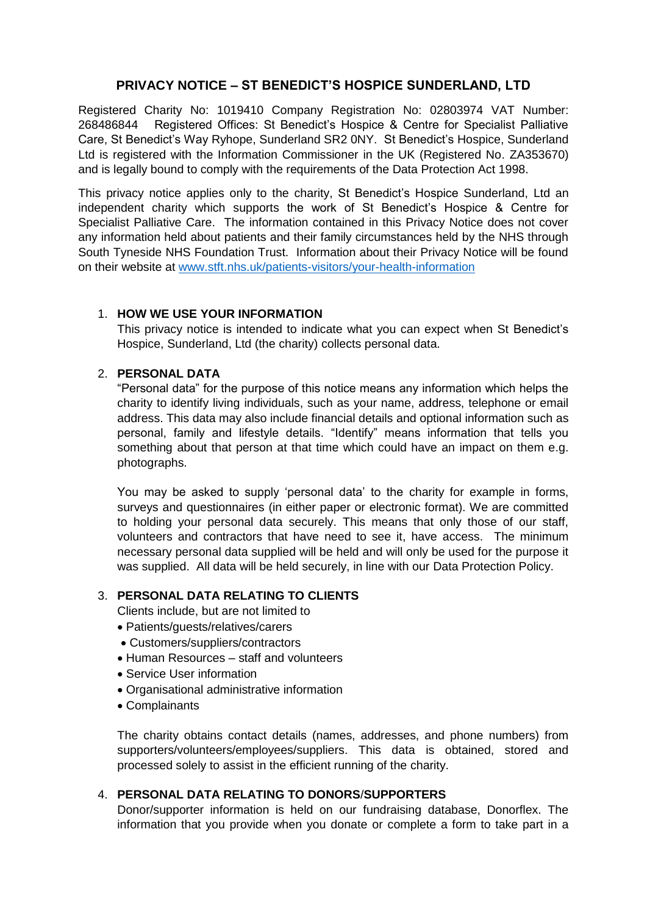# **PRIVACY NOTICE – ST BENEDICT'S HOSPICE SUNDERLAND, LTD**

Registered Charity No: 1019410 Company Registration No: 02803974 VAT Number: 268486844 Registered Offices: St Benedict's Hospice & Centre for Specialist Palliative Care, St Benedict's Way Ryhope, Sunderland SR2 0NY. St Benedict's Hospice, Sunderland Ltd is registered with the Information Commissioner in the UK (Registered No. ZA353670) and is legally bound to comply with the requirements of the Data Protection Act 1998.

This privacy notice applies only to the charity, St Benedict's Hospice Sunderland, Ltd an independent charity which supports the work of St Benedict's Hospice & Centre for Specialist Palliative Care. The information contained in this Privacy Notice does not cover any information held about patients and their family circumstances held by the NHS through South Tyneside NHS Foundation Trust. Information about their Privacy Notice will be found on their website at [www.stft.nhs.uk/patients-visitors/your-health-information](http://www.stft.nhs.uk/patients-visitors/your-health-information)

## 1. **HOW WE USE YOUR INFORMATION**

This privacy notice is intended to indicate what you can expect when St Benedict's Hospice, Sunderland, Ltd (the charity) collects personal data.

## 2. **PERSONAL DATA**

"Personal data" for the purpose of this notice means any information which helps the charity to identify living individuals, such as your name, address, telephone or email address. This data may also include financial details and optional information such as personal, family and lifestyle details. "Identify" means information that tells you something about that person at that time which could have an impact on them e.g. photographs.

You may be asked to supply 'personal data' to the charity for example in forms, surveys and questionnaires (in either paper or electronic format). We are committed to holding your personal data securely. This means that only those of our staff, volunteers and contractors that have need to see it, have access. The minimum necessary personal data supplied will be held and will only be used for the purpose it was supplied. All data will be held securely, in line with our Data Protection Policy.

## 3. **PERSONAL DATA RELATING TO CLIENTS**

Clients include, but are not limited to

- Patients/guests/relatives/carers
- Customers/suppliers/contractors
- Human Resources staff and volunteers
- Service User information
- Organisational administrative information
- Complainants

The charity obtains contact details (names, addresses, and phone numbers) from supporters/volunteers/employees/suppliers. This data is obtained, stored and processed solely to assist in the efficient running of the charity.

## 4. **PERSONAL DATA RELATING TO DONORS**/**SUPPORTERS**

Donor/supporter information is held on our fundraising database, Donorflex. The information that you provide when you donate or complete a form to take part in a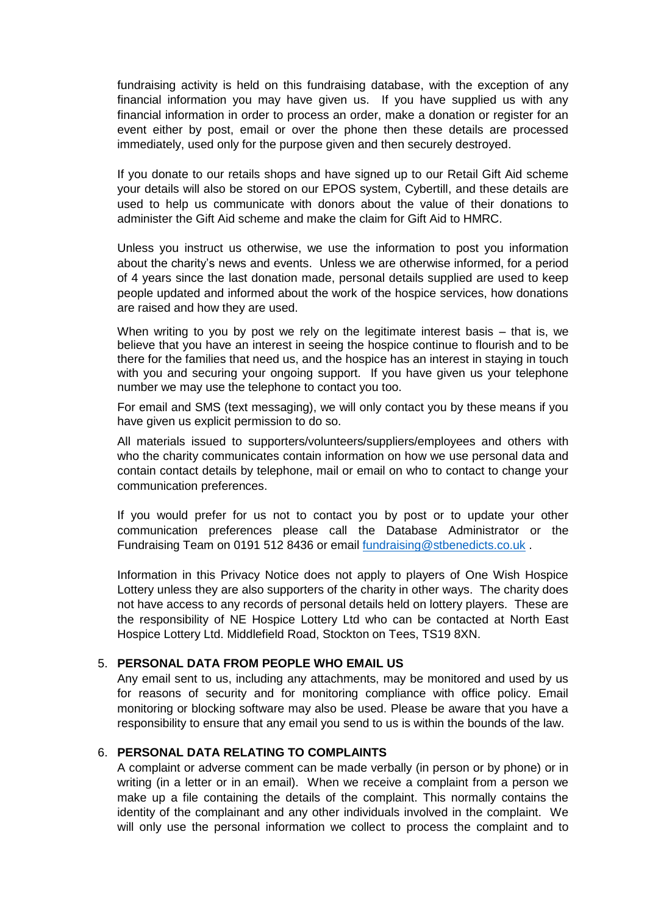fundraising activity is held on this fundraising database, with the exception of any financial information you may have given us. If you have supplied us with any financial information in order to process an order, make a donation or register for an event either by post, email or over the phone then these details are processed immediately, used only for the purpose given and then securely destroyed.

If you donate to our retails shops and have signed up to our Retail Gift Aid scheme your details will also be stored on our EPOS system, Cybertill, and these details are used to help us communicate with donors about the value of their donations to administer the Gift Aid scheme and make the claim for Gift Aid to HMRC.

Unless you instruct us otherwise, we use the information to post you information about the charity's news and events. Unless we are otherwise informed, for a period of 4 years since the last donation made, personal details supplied are used to keep people updated and informed about the work of the hospice services, how donations are raised and how they are used.

When writing to you by post we rely on the legitimate interest basis – that is, we believe that you have an interest in seeing the hospice continue to flourish and to be there for the families that need us, and the hospice has an interest in staying in touch with you and securing your ongoing support. If you have given us your telephone number we may use the telephone to contact you too.

For email and SMS (text messaging), we will only contact you by these means if you have given us explicit permission to do so.

All materials issued to supporters/volunteers/suppliers/employees and others with who the charity communicates contain information on how we use personal data and contain contact details by telephone, mail or email on who to contact to change your communication preferences.

If you would prefer for us not to contact you by post or to update your other communication preferences please call the Database Administrator or the Fundraising Team on 0191 512 8436 or email [fundraising@stbenedicts.co.uk](mailto:fundraising@stbenedicts.co.uk) .

Information in this Privacy Notice does not apply to players of One Wish Hospice Lottery unless they are also supporters of the charity in other ways. The charity does not have access to any records of personal details held on lottery players. These are the responsibility of NE Hospice Lottery Ltd who can be contacted at North East Hospice Lottery Ltd. Middlefield Road, Stockton on Tees, TS19 8XN.

#### 5. **PERSONAL DATA FROM PEOPLE WHO EMAIL US**

Any email sent to us, including any attachments, may be monitored and used by us for reasons of security and for monitoring compliance with office policy. Email monitoring or blocking software may also be used. Please be aware that you have a responsibility to ensure that any email you send to us is within the bounds of the law.

### 6. **PERSONAL DATA RELATING TO COMPLAINTS**

A complaint or adverse comment can be made verbally (in person or by phone) or in writing (in a letter or in an email). When we receive a complaint from a person we make up a file containing the details of the complaint. This normally contains the identity of the complainant and any other individuals involved in the complaint. We will only use the personal information we collect to process the complaint and to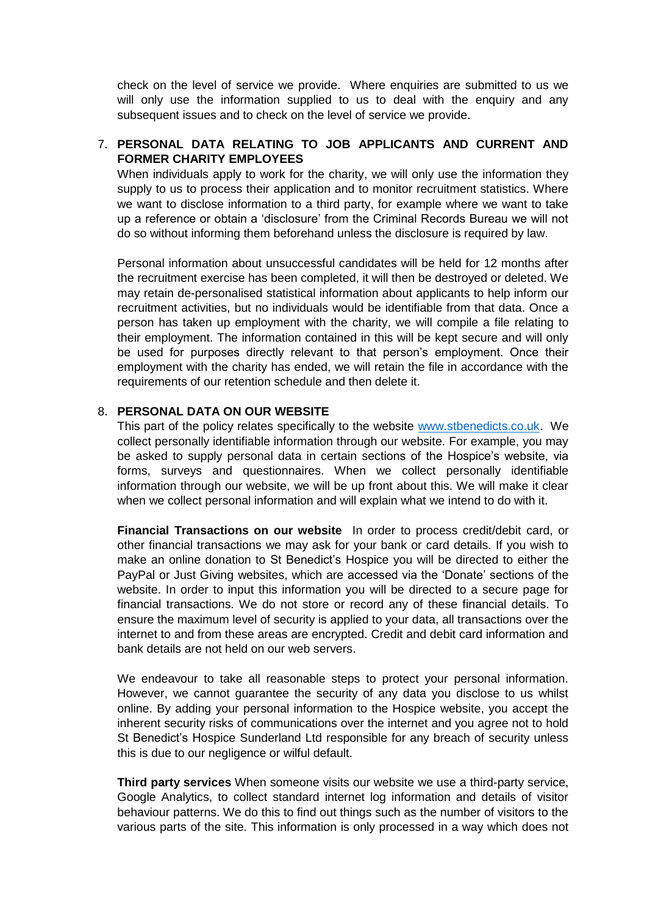check on the level of service we provide. Where enquiries are submitted to us we will only use the information supplied to us to deal with the enquiry and any subsequent issues and to check on the level of service we provide.

## 7. **PERSONAL DATA RELATING TO JOB APPLICANTS AND CURRENT AND FORMER CHARITY EMPLOYEES**

When individuals apply to work for the charity, we will only use the information they supply to us to process their application and to monitor recruitment statistics. Where we want to disclose information to a third party, for example where we want to take up a reference or obtain a 'disclosure' from the Criminal Records Bureau we will not do so without informing them beforehand unless the disclosure is required by law.

Personal information about unsuccessful candidates will be held for 12 months after the recruitment exercise has been completed, it will then be destroyed or deleted. We may retain de-personalised statistical information about applicants to help inform our recruitment activities, but no individuals would be identifiable from that data. Once a person has taken up employment with the charity, we will compile a file relating to their employment. The information contained in this will be kept secure and will only be used for purposes directly relevant to that person's employment. Once their employment with the charity has ended, we will retain the file in accordance with the requirements of our retention schedule and then delete it.

#### 8. **PERSONAL DATA ON OUR WEBSITE**

This part of the policy relates specifically to the website [www.stbenedicts.co.uk.](http://www.stbenedicts.co.uk/) We collect personally identifiable information through our website. For example, you may be asked to supply personal data in certain sections of the Hospice's website, via forms, surveys and questionnaires. When we collect personally identifiable information through our website, we will be up front about this. We will make it clear when we collect personal information and will explain what we intend to do with it.

**Financial Transactions on our website** In order to process credit/debit card, or other financial transactions we may ask for your bank or card details. If you wish to make an online donation to St Benedict's Hospice you will be directed to either the PayPal or Just Giving websites, which are accessed via the 'Donate' sections of the website. In order to input this information you will be directed to a secure page for financial transactions. We do not store or record any of these financial details. To ensure the maximum level of security is applied to your data, all transactions over the internet to and from these areas are encrypted. Credit and debit card information and bank details are not held on our web servers.

We endeavour to take all reasonable steps to protect your personal information. However, we cannot guarantee the security of any data you disclose to us whilst online. By adding your personal information to the Hospice website, you accept the inherent security risks of communications over the internet and you agree not to hold St Benedict's Hospice Sunderland Ltd responsible for any breach of security unless this is due to our negligence or wilful default.

**Third party services** When someone visits our website we use a third-party service, Google Analytics, to collect standard internet log information and details of visitor behaviour patterns. We do this to find out things such as the number of visitors to the various parts of the site. This information is only processed in a way which does not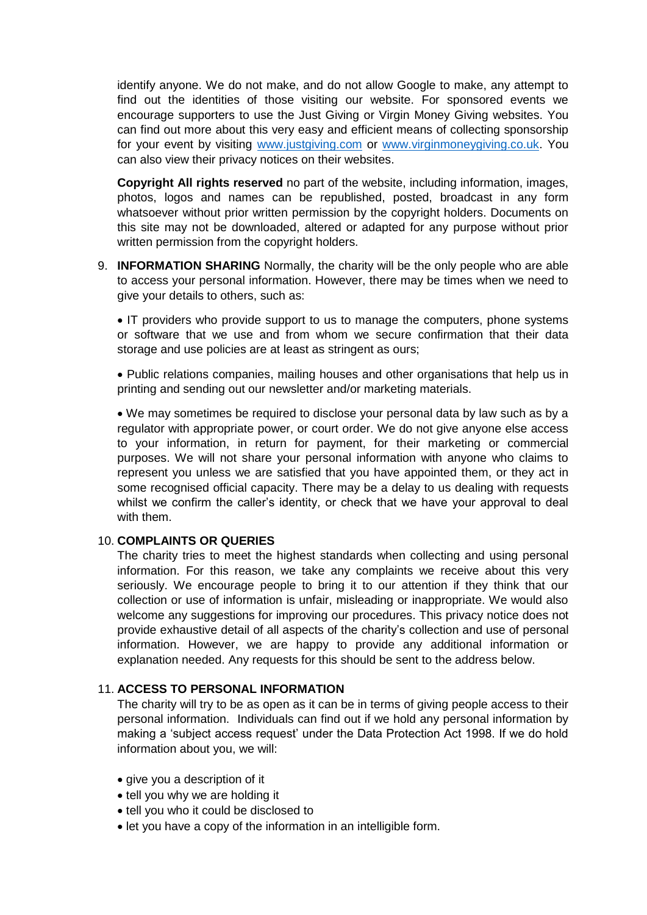identify anyone. We do not make, and do not allow Google to make, any attempt to find out the identities of those visiting our website. For sponsored events we encourage supporters to use the Just Giving or Virgin Money Giving websites. You can find out more about this very easy and efficient means of collecting sponsorship for your event by visiting [www.justgiving.com](http://www.justgiving.com/) or [www.virginmoneygiving.co.uk.](http://www.virginmoneygiving.co.uk/) You can also view their privacy notices on their websites.

**Copyright All rights reserved** no part of the website, including information, images, photos, logos and names can be republished, posted, broadcast in any form whatsoever without prior written permission by the copyright holders. Documents on this site may not be downloaded, altered or adapted for any purpose without prior written permission from the copyright holders.

9. **INFORMATION SHARING** Normally, the charity will be the only people who are able to access your personal information. However, there may be times when we need to give your details to others, such as:

 IT providers who provide support to us to manage the computers, phone systems or software that we use and from whom we secure confirmation that their data storage and use policies are at least as stringent as ours;

 Public relations companies, mailing houses and other organisations that help us in printing and sending out our newsletter and/or marketing materials.

 We may sometimes be required to disclose your personal data by law such as by a regulator with appropriate power, or court order. We do not give anyone else access to your information, in return for payment, for their marketing or commercial purposes. We will not share your personal information with anyone who claims to represent you unless we are satisfied that you have appointed them, or they act in some recognised official capacity. There may be a delay to us dealing with requests whilst we confirm the caller's identity, or check that we have your approval to deal with them.

#### 10. **COMPLAINTS OR QUERIES**

The charity tries to meet the highest standards when collecting and using personal information. For this reason, we take any complaints we receive about this very seriously. We encourage people to bring it to our attention if they think that our collection or use of information is unfair, misleading or inappropriate. We would also welcome any suggestions for improving our procedures. This privacy notice does not provide exhaustive detail of all aspects of the charity's collection and use of personal information. However, we are happy to provide any additional information or explanation needed. Any requests for this should be sent to the address below.

### 11. **ACCESS TO PERSONAL INFORMATION**

The charity will try to be as open as it can be in terms of giving people access to their personal information. Individuals can find out if we hold any personal information by making a 'subject access request' under the Data Protection Act 1998. If we do hold information about you, we will:

- give you a description of it
- tell you why we are holding it
- tell you who it could be disclosed to
- let you have a copy of the information in an intelligible form.